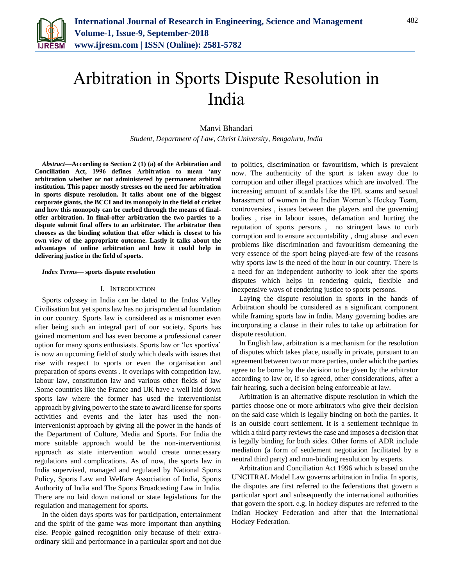

# Arbitration in Sports Dispute Resolution in India

Manvi Bhandari

*Student, Department of Law, Christ University, Bengaluru, India*

*Abstract***—According to Section 2 (1) (a) of the Arbitration and Conciliation Act, 1996 defines Arbitration to mean 'any arbitration whether or not administered by permanent arbitral institution. This paper mostly stresses on the need for arbitration in sports dispute resolution. It talks about one of the biggest corporate giants, the BCCI and its monopoly in the field of cricket and how this monopoly can be curbed through the means of finaloffer arbitration. In final-offer arbitration the two parties to a dispute submit final offers to an arbitrator. The arbitrator then chooses as the binding solution that offer which is closest to his own view of the appropriate outcome. Lastly it talks about the advantages of online arbitration and how it could help in delivering justice in the field of sports.**

#### *Index Terms***— sports dispute resolution**

## I. INTRODUCTION

Sports odyssey in India can be dated to the Indus Valley Civilisation but yet sports law has no jurisprudential foundation in our country. Sports law is considered as a misnomer even after being such an integral part of our society. Sports has gained momentum and has even become a professional career option for many sports enthusiasts. Sports law or 'lex sportiva' is now an upcoming field of study which deals with issues that rise with respect to sports or even the organisation and preparation of sports events . It overlaps with competition law, labour law, constitution law and various other fields of law .Some countries like the France and UK have a well laid down sports law where the former has used the interventionist approach by giving power to the state to award license for sports activities and events and the later has used the nonintervenionist approach by giving all the power in the hands of the Department of Culture, Media and Sports. For India the more suitable approach would be the non-interventionist approach as state intervention would create unnecessary regulations and complications. As of now, the sports law in India supervised, managed and regulated by National Sports Policy, Sports Law and Welfare Association of India, Sports Authority of India and The Sports Broadcasting Law in India. There are no laid down national or state legislations for the regulation and management for sports.

In the olden days sports was for participation, entertainment and the spirit of the game was more important than anything else. People gained recognition only because of their extraordinary skill and performance in a particular sport and not due

to politics, discrimination or favouritism, which is prevalent now. The authenticity of the sport is taken away due to corruption and other illegal practices which are involved. The increasing amount of scandals like the IPL scams and sexual harassment of women in the Indian Women's Hockey Team, controversies , issues between the players and the governing bodies , rise in labour issues, defamation and hurting the reputation of sports persons , no stringent laws to curb corruption and to ensure accountability , drug abuse and even problems like discrimination and favouritism demeaning the very essence of the sport being played-are few of the reasons why sports law is the need of the hour in our country. There is a need for an independent authority to look after the sports disputes which helps in rendering quick, flexible and inexpensive ways of rendering justice to sports persons.

Laying the dispute resolution in sports in the hands of Arbitration should be considered as a significant component while framing sports law in India. Many governing bodies are incorporating a clause in their rules to take up arbitration for dispute resolution.

In English law, arbitration is a mechanism for the resolution of disputes which takes place, usually in private, pursuant to an agreement between two or more parties, under which the parties agree to be borne by the decision to be given by the arbitrator according to law or, if so agreed, other considerations, after a fair hearing, such a decision being enforceable at law.

Arbitration is an alternative dispute resolution in which the parties choose one or more arbitrators who give their decision on the said case which is legally binding on both the parties. It is an outside court settlement. It is a settlement technique in which a third party reviews the case and imposes a decision that is legally binding for both sides. Other forms of ADR include mediation (a form of settlement negotiation facilitated by a neutral third party) and non-binding resolution by experts.

Arbitration and Conciliation Act 1996 which is based on the UNCITRAL Model Law governs arbitration in India. In sports, the disputes are first referred to the federations that govern a particular sport and subsequently the international authorities that govern the sport. e.g. in hockey disputes are referred to the Indian Hockey Federation and after that the International Hockey Federation.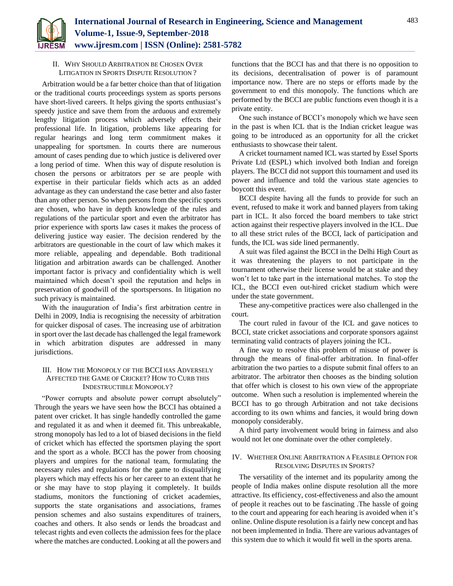

## II. WHY SHOULD ARBITRATION BE CHOSEN OVER LITIGATION IN SPORTS DISPUTE RESOLUTION ?

Arbitration would be a far better choice than that of litigation or the traditional courts proceedings system as sports persons have short-lived careers. It helps giving the sports enthusiast's speedy justice and save them from the arduous and extremely lengthy litigation process which adversely effects their professional life. In litigation, problems like appearing for regular hearings and long term commitment makes it unappealing for sportsmen. In courts there are numerous amount of cases pending due to which justice is delivered over a long period of time. When this way of dispute resolution is chosen the persons or arbitrators per se are people with expertise in their particular fields which acts as an added advantage as they can understand the case better and also faster than any other person. So when persons from the specific sports are chosen, who have in depth knowledge of the rules and regulations of the particular sport and even the arbitrator has prior experience with sports law cases it makes the process of delivering justice way easier. The decision rendered by the arbitrators are questionable in the court of law which makes it more reliable, appealing and dependable. Both traditional litigation and arbitration awards can be challenged. Another important factor is privacy and confidentiality which is well maintained which doesn't spoil the reputation and helps in preservation of goodwill of the sportspersons. In litigation no such privacy is maintained.

With the inauguration of India's first arbitration centre in Delhi in 2009, India is recognising the necessity of arbitration for quicker disposal of cases. The increasing use of arbitration in sport over the last decade has challenged the legal framework in which arbitration disputes are addressed in many jurisdictions.

## III. HOW THE MONOPOLY OF THE BCCI HAS ADVERSELY AFFECTED THE GAME OF CRICKET? HOW TO CURB THIS INDESTRUCTIBLE MONOPOLY?

"Power corrupts and absolute power corrupt absolutely" Through the years we have seen how the BCCI has obtained a patent over cricket. It has single handedly controlled the game and regulated it as and when it deemed fit. This unbreakable, strong monopoly has led to a lot of biased decisions in the field of cricket which has effected the sportsmen playing the sport and the sport as a whole. BCCI has the power from choosing players and umpires for the national team, formulating the necessary rules and regulations for the game to disqualifying players which may effects his or her career to an extent that he or she may have to stop playing it completely. It builds stadiums, monitors the functioning of cricket academies, supports the state organisations and associations, frames pension schemes and also sustains expenditures of trainers, coaches and others. It also sends or lends the broadcast and telecast rights and even collects the admission fees for the place where the matches are conducted. Looking at all the powers and

functions that the BCCI has and that there is no opposition to its decisions, decentralisation of power is of paramount importance now. There are no steps or efforts made by the government to end this monopoly. The functions which are performed by the BCCI are public functions even though it is a private entity.

One such instance of BCCI's monopoly which we have seen in the past is when ICL that is the Indian cricket league was going to be introduced as an opportunity for all the cricket enthusiasts to showcase their talent.

A cricket tournament named ICL was started by Essel Sports Private Ltd (ESPL) which involved both Indian and foreign players. The BCCI did not support this tournament and used its power and influence and told the various state agencies to boycott this event.

BCCI despite having all the funds to provide for such an event, refused to make it work and banned players from taking part in ICL. It also forced the board members to take strict action against their respective players involved in the ICL. Due to all these strict rules of the BCCI, lack of participation and funds, the ICL was side lined permanently.

A suit was filed against the BCCI in the Delhi High Court as it was threatening the players to not participate in the tournament otherwise their license would be at stake and they won't let to take part in the international matches. To stop the ICL, the BCCI even out-hired cricket stadium which were under the state government.

These any-competitive practices were also challenged in the court.

The court ruled in favour of the ICL and gave notices to BCCI, state cricket associations and corporate sponsors against terminating valid contracts of players joining the ICL.

A fine way to resolve this problem of misuse of power is through the means of final-offer arbitration. In final-offer arbitration the two parties to a dispute submit final offers to an arbitrator. The arbitrator then chooses as the binding solution that offer which is closest to his own view of the appropriate outcome. When such a resolution is implemented wherein the BCCI has to go through Arbitration and not take decisions according to its own whims and fancies, it would bring down monopoly considerably.

A third party involvement would bring in fairness and also would not let one dominate over the other completely.

## IV. WHETHER ONLINE ARBITRATION A FEASIBLE OPTION FOR RESOLVING DISPUTES IN SPORTS?

The versatility of the internet and its popularity among the people of India makes online dispute resolution all the more attractive. Its efficiency, cost-effectiveness and also the amount of people it reaches out to be fascinating .The hassle of going to the court and appearing for each hearing is avoided when it's online. Online dispute resolution is a fairly new concept and has not been implemented in India. There are various advantages of this system due to which it would fit well in the sports arena.